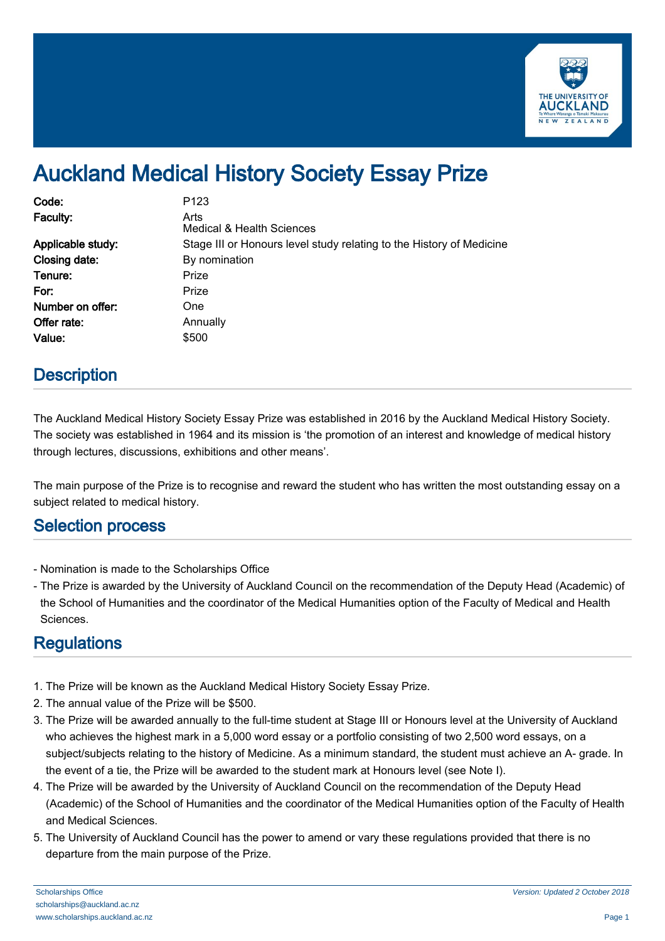

# Auckland Medical History Society Essay Prize

| Code:             | P <sub>123</sub>                                                     |
|-------------------|----------------------------------------------------------------------|
| Faculty:          | Arts<br>Medical & Health Sciences                                    |
| Applicable study: | Stage III or Honours level study relating to the History of Medicine |
| Closing date:     | By nomination                                                        |
| Tenure:           | Prize                                                                |
| For:              | Prize                                                                |
| Number on offer:  | One                                                                  |
| Offer rate:       | Annually                                                             |
| Value:            | \$500                                                                |

### **Description**

The Auckland Medical History Society Essay Prize was established in 2016 by the Auckland Medical History Society. The society was established in 1964 and its mission is 'the promotion of an interest and knowledge of medical history through lectures, discussions, exhibitions and other means'.

The main purpose of the Prize is to recognise and reward the student who has written the most outstanding essay on a subject related to medical history.

#### Selection process

- Nomination is made to the Scholarships Office
- The Prize is awarded by the University of Auckland Council on the recommendation of the Deputy Head (Academic) of the School of Humanities and the coordinator of the Medical Humanities option of the Faculty of Medical and Health Sciences.

## **Regulations**

- 1. The Prize will be known as the Auckland Medical History Society Essay Prize.
- 2. The annual value of the Prize will be \$500.
- 3. The Prize will be awarded annually to the full-time student at Stage III or Honours level at the University of Auckland who achieves the highest mark in a 5,000 word essay or a portfolio consisting of two 2,500 word essays, on a subject/subjects relating to the history of Medicine. As a minimum standard, the student must achieve an A- grade. In the event of a tie, the Prize will be awarded to the student mark at Honours level (see Note I).
- 4. The Prize will be awarded by the University of Auckland Council on the recommendation of the Deputy Head (Academic) of the School of Humanities and the coordinator of the Medical Humanities option of the Faculty of Health and Medical Sciences.
- 5. The University of Auckland Council has the power to amend or vary these regulations provided that there is no departure from the main purpose of the Prize.